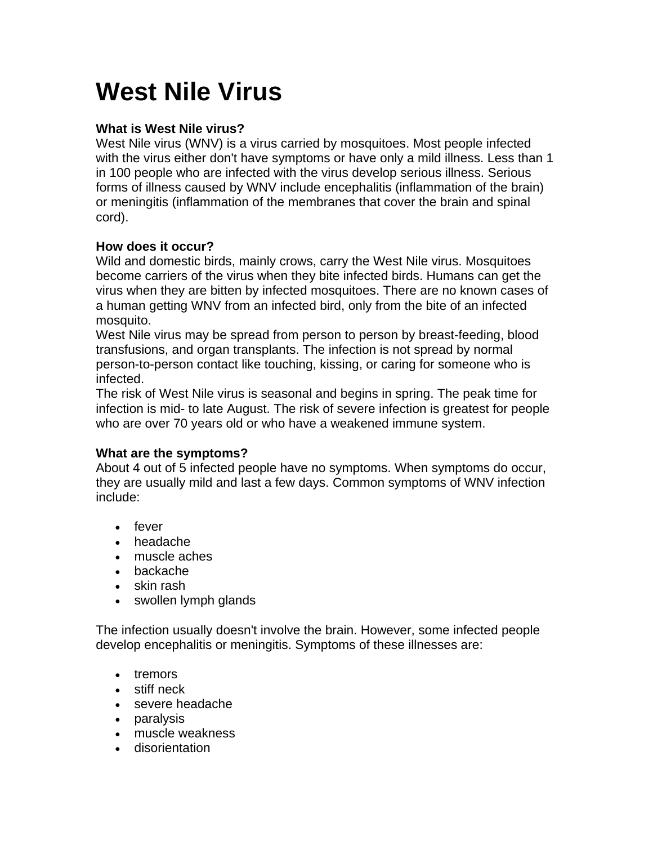# **West Nile Virus**

# **What is West Nile virus?**

West Nile virus (WNV) is a virus carried by mosquitoes. Most people infected with the virus either don't have symptoms or have only a mild illness. Less than 1 in 100 people who are infected with the virus develop serious illness. Serious forms of illness caused by WNV include encephalitis (inflammation of the brain) or meningitis (inflammation of the membranes that cover the brain and spinal cord).

# **How does it occur?**

Wild and domestic birds, mainly crows, carry the West Nile virus. Mosquitoes become carriers of the virus when they bite infected birds. Humans can get the virus when they are bitten by infected mosquitoes. There are no known cases of a human getting WNV from an infected bird, only from the bite of an infected mosquito.

West Nile virus may be spread from person to person by breast-feeding, blood transfusions, and organ transplants. The infection is not spread by normal person-to-person contact like touching, kissing, or caring for someone who is infected.

The risk of West Nile virus is seasonal and begins in spring. The peak time for infection is mid- to late August. The risk of severe infection is greatest for people who are over 70 years old or who have a weakened immune system.

# **What are the symptoms?**

About 4 out of 5 infected people have no symptoms. When symptoms do occur, they are usually mild and last a few days. Common symptoms of WNV infection include:

- fever
- headache
- muscle aches
- backache
- skin rash
- swollen lymph glands

The infection usually doesn't involve the brain. However, some infected people develop encephalitis or meningitis. Symptoms of these illnesses are:

- tremors
- stiff neck
- severe headache
- paralysis
- muscle weakness
- disorientation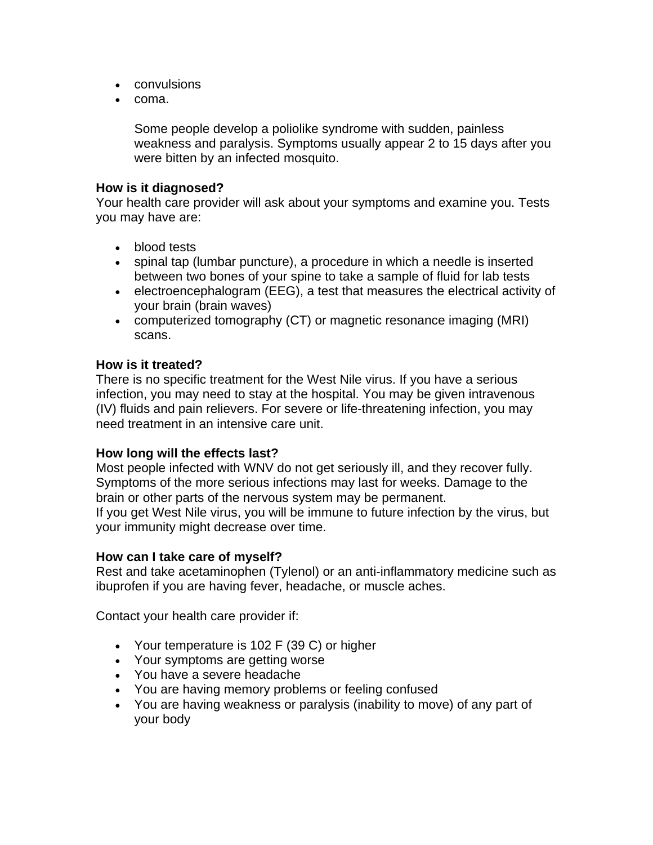- convulsions
- coma.

Some people develop a poliolike syndrome with sudden, painless weakness and paralysis. Symptoms usually appear 2 to 15 days after you were bitten by an infected mosquito.

### **How is it diagnosed?**

Your health care provider will ask about your symptoms and examine you. Tests you may have are:

- blood tests
- spinal tap (lumbar puncture), a procedure in which a needle is inserted between two bones of your spine to take a sample of fluid for lab tests
- electroencephalogram (EEG), a test that measures the electrical activity of your brain (brain waves)
- computerized tomography (CT) or magnetic resonance imaging (MRI) scans.

#### **How is it treated?**

There is no specific treatment for the West Nile virus. If you have a serious infection, you may need to stay at the hospital. You may be given intravenous (IV) fluids and pain relievers. For severe or life-threatening infection, you may need treatment in an intensive care unit.

## **How long will the effects last?**

Most people infected with WNV do not get seriously ill, and they recover fully. Symptoms of the more serious infections may last for weeks. Damage to the brain or other parts of the nervous system may be permanent. If you get West Nile virus, you will be immune to future infection by the virus, but your immunity might decrease over time.

#### **How can I take care of myself?**

Rest and take acetaminophen (Tylenol) or an anti-inflammatory medicine such as ibuprofen if you are having fever, headache, or muscle aches.

Contact your health care provider if:

- Your temperature is 102 F (39 C) or higher
- Your symptoms are getting worse
- You have a severe headache
- You are having memory problems or feeling confused
- You are having weakness or paralysis (inability to move) of any part of your body